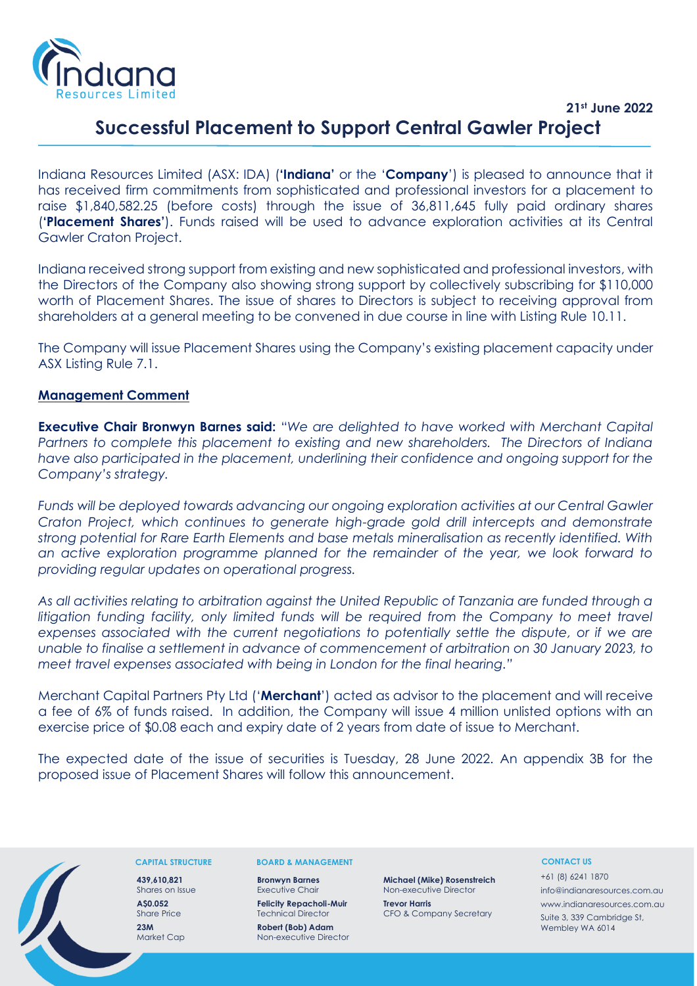

# **21st June 2022 Successful Placement to Support Central Gawler Project**

Indiana Resources Limited (ASX: IDA) (**'Indiana'** or the '**Company**') is pleased to announce that it has received firm commitments from sophisticated and professional investors for a placement to raise \$1,840,582.25 (before costs) through the issue of 36,811,645 fully paid ordinary shares (**'Placement Shares'**). Funds raised will be used to advance exploration activities at its Central Gawler Craton Project.

Indiana received strong support from existing and new sophisticated and professional investors, with the Directors of the Company also showing strong support by collectively subscribing for \$110,000 worth of Placement Shares. The issue of shares to Directors is subject to receiving approval from shareholders at a general meeting to be convened in due course in line with Listing Rule 10.11.

The Company will issue Placement Shares using the Company's existing placement capacity under ASX Listing Rule 7.1.

## **Management Comment**

**Executive Chair Bronwyn Barnes said:** "*We are delighted to have worked with Merchant Capital Partners to complete this placement to existing and new shareholders. The Directors of Indiana have also participated in the placement, underlining their confidence and ongoing support for the Company's strategy.* 

*Funds will be deployed towards advancing our ongoing exploration activities at our Central Gawler Craton Project, which continues to generate high-grade gold drill intercepts and demonstrate strong potential for Rare Earth Elements and base metals mineralisation as recently identified. With an active exploration programme planned for the remainder of the year, we look forward to providing regular updates on operational progress.* 

*As all activities relating to arbitration against the United Republic of Tanzania are funded through a*  litigation funding facility, only limited funds will be required from the Company to meet travel *expenses associated with the current negotiations to potentially settle the dispute, or if we are unable to finalise a settlement in advance of commencement of arbitration on 30 January 2023, to meet travel expenses associated with being in London for the final hearing."* 

Merchant Capital Partners Pty Ltd ('**Merchant**') acted as advisor to the placement and will receive a fee of 6% of funds raised. In addition, the Company will issue 4 million unlisted options with an exercise price of \$0.08 each and expiry date of 2 years from date of issue to Merchant.

The expected date of the issue of securities is Tuesday, 28 June 2022. An appendix 3B for the proposed issue of Placement Shares will follow this announcement.



### **CAPITAL STRUCTURE**

**439,610,821** Shares on Issue **A\$0.052** Share Price **23M** Market Cap

#### **BOARD & MANAGEMENT**

**Bronwyn Barnes** Executive Chair **Felicity Repacholi-Muir**

Technical Director **Robert (Bob) Adam**

Non-executive Director

**Michael (Mike) Rosenstreich** Non-executive Director

**Trevor Harris** CFO & Company Secretary

### **CONTACT US**

+61 (8) 6241 1870 info@indianaresources.com.au www.indianaresources.com.au Suite 3, 339 Cambridge St, Wembley WA 6014